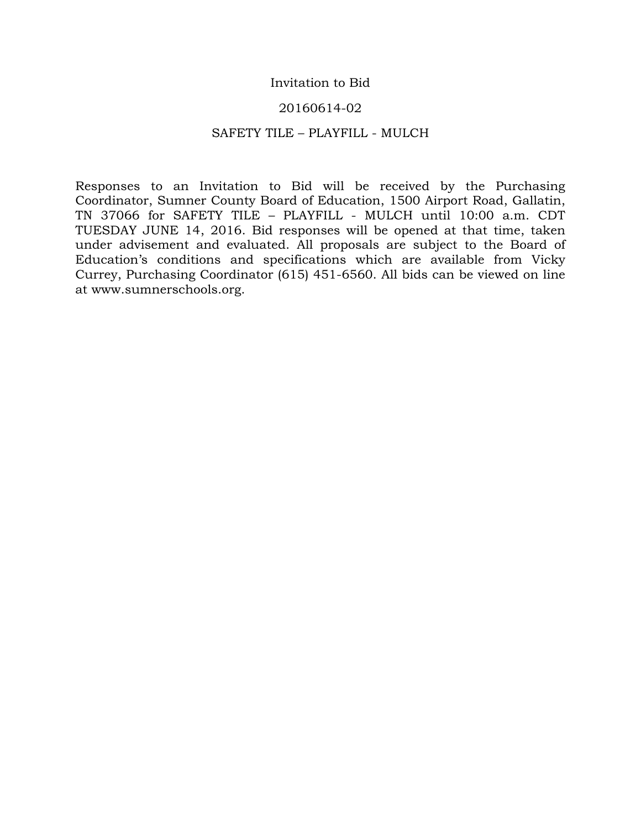## Invitation to Bid

## 20160614-02

#### SAFETY TILE – PLAYFILL - MULCH

Responses to an Invitation to Bid will be received by the Purchasing Coordinator, Sumner County Board of Education, 1500 Airport Road, Gallatin, TN 37066 for SAFETY TILE – PLAYFILL - MULCH until 10:00 a.m. CDT TUESDAY JUNE 14, 2016. Bid responses will be opened at that time, taken under advisement and evaluated. All proposals are subject to the Board of Education's conditions and specifications which are available from Vicky Currey, Purchasing Coordinator (615) 451-6560. All bids can be viewed on line at www.sumnerschools.org.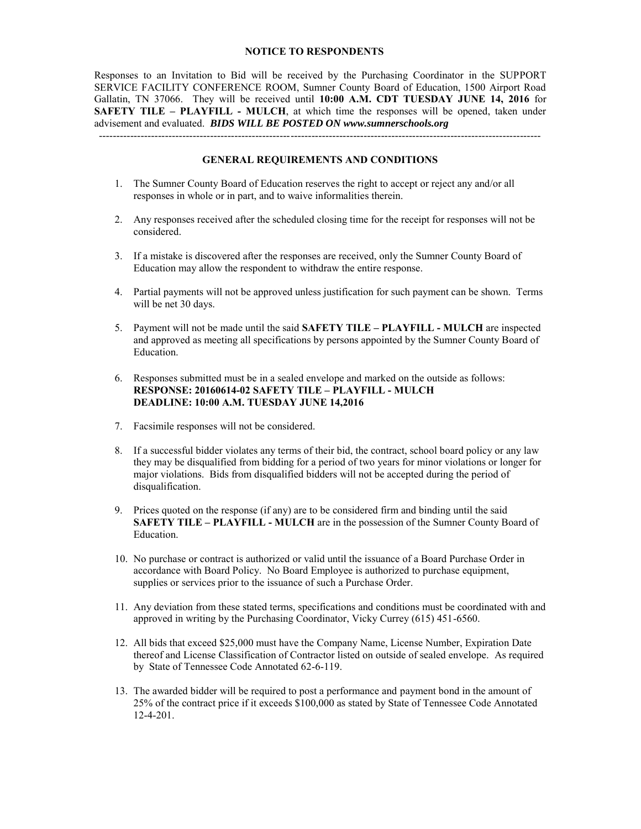#### **NOTICE TO RESPONDENTS**

Responses to an Invitation to Bid will be received by the Purchasing Coordinator in the SUPPORT SERVICE FACILITY CONFERENCE ROOM, Sumner County Board of Education, 1500 Airport Road Gallatin, TN 37066. They will be received until **10:00 A.M. CDT TUESDAY JUNE 14, 2016** for **SAFETY TILE – PLAYFILL - MULCH**, at which time the responses will be opened, taken under advisement and evaluated. *BIDS WILL BE POSTED ON www.sumnerschools.org* 

#### **GENERAL REQUIREMENTS AND CONDITIONS**

-------------------------------------------------------------------------------------------------------------------------------

- 1. The Sumner County Board of Education reserves the right to accept or reject any and/or all responses in whole or in part, and to waive informalities therein.
- 2. Any responses received after the scheduled closing time for the receipt for responses will not be considered.
- 3. If a mistake is discovered after the responses are received, only the Sumner County Board of Education may allow the respondent to withdraw the entire response.
- 4. Partial payments will not be approved unless justification for such payment can be shown. Terms will be net 30 days.
- 5. Payment will not be made until the said **SAFETY TILE PLAYFILL MULCH** are inspected and approved as meeting all specifications by persons appointed by the Sumner County Board of Education.
- 6. Responses submitted must be in a sealed envelope and marked on the outside as follows: **RESPONSE: 20160614-02 SAFETY TILE – PLAYFILL - MULCH DEADLINE: 10:00 A.M. TUESDAY JUNE 14,2016**
- 7. Facsimile responses will not be considered.
- 8. If a successful bidder violates any terms of their bid, the contract, school board policy or any law they may be disqualified from bidding for a period of two years for minor violations or longer for major violations. Bids from disqualified bidders will not be accepted during the period of disqualification.
- 9. Prices quoted on the response (if any) are to be considered firm and binding until the said **SAFETY TILE – PLAYFILL - MULCH** are in the possession of the Sumner County Board of Education.
- 10. No purchase or contract is authorized or valid until the issuance of a Board Purchase Order in accordance with Board Policy. No Board Employee is authorized to purchase equipment, supplies or services prior to the issuance of such a Purchase Order.
- 11. Any deviation from these stated terms, specifications and conditions must be coordinated with and approved in writing by the Purchasing Coordinator, Vicky Currey (615) 451-6560.
- 12. All bids that exceed \$25,000 must have the Company Name, License Number, Expiration Date thereof and License Classification of Contractor listed on outside of sealed envelope. As required by State of Tennessee Code Annotated 62-6-119.
- 13. The awarded bidder will be required to post a performance and payment bond in the amount of 25% of the contract price if it exceeds \$100,000 as stated by State of Tennessee Code Annotated 12-4-201.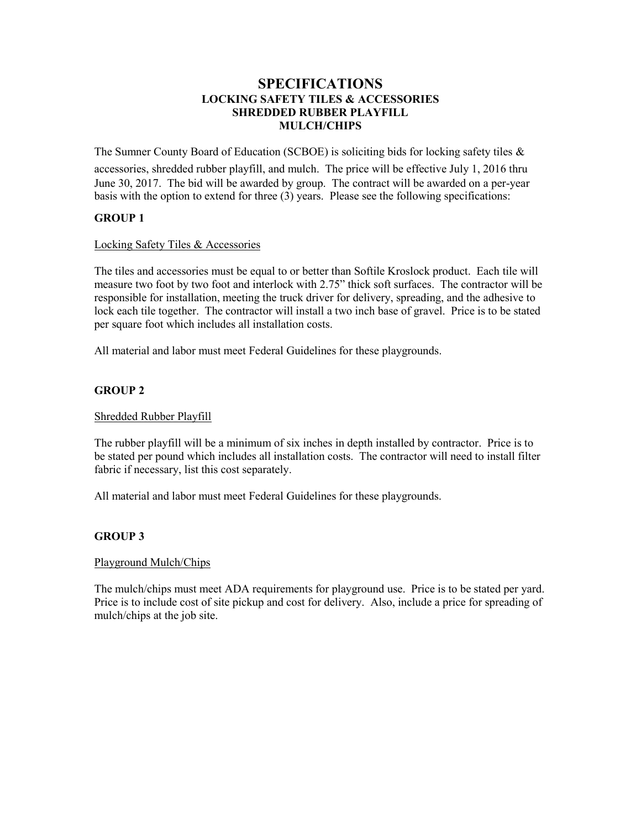## **SPECIFICATIONS LOCKING SAFETY TILES & ACCESSORIES SHREDDED RUBBER PLAYFILL MULCH/CHIPS**

The Sumner County Board of Education (SCBOE) is soliciting bids for locking safety tiles  $\&$ 

accessories, shredded rubber playfill, and mulch. The price will be effective July 1, 2016 thru June 30, 2017. The bid will be awarded by group. The contract will be awarded on a per-year basis with the option to extend for three (3) years. Please see the following specifications:

## **GROUP 1**

#### Locking Safety Tiles & Accessories

The tiles and accessories must be equal to or better than Softile Kroslock product. Each tile will measure two foot by two foot and interlock with 2.75" thick soft surfaces. The contractor will be responsible for installation, meeting the truck driver for delivery, spreading, and the adhesive to lock each tile together. The contractor will install a two inch base of gravel. Price is to be stated per square foot which includes all installation costs.

All material and labor must meet Federal Guidelines for these playgrounds.

#### **GROUP 2**

#### Shredded Rubber Playfill

The rubber playfill will be a minimum of six inches in depth installed by contractor. Price is to be stated per pound which includes all installation costs. The contractor will need to install filter fabric if necessary, list this cost separately.

All material and labor must meet Federal Guidelines for these playgrounds.

#### **GROUP 3**

#### Playground Mulch/Chips

The mulch/chips must meet ADA requirements for playground use. Price is to be stated per yard. Price is to include cost of site pickup and cost for delivery. Also, include a price for spreading of mulch/chips at the job site.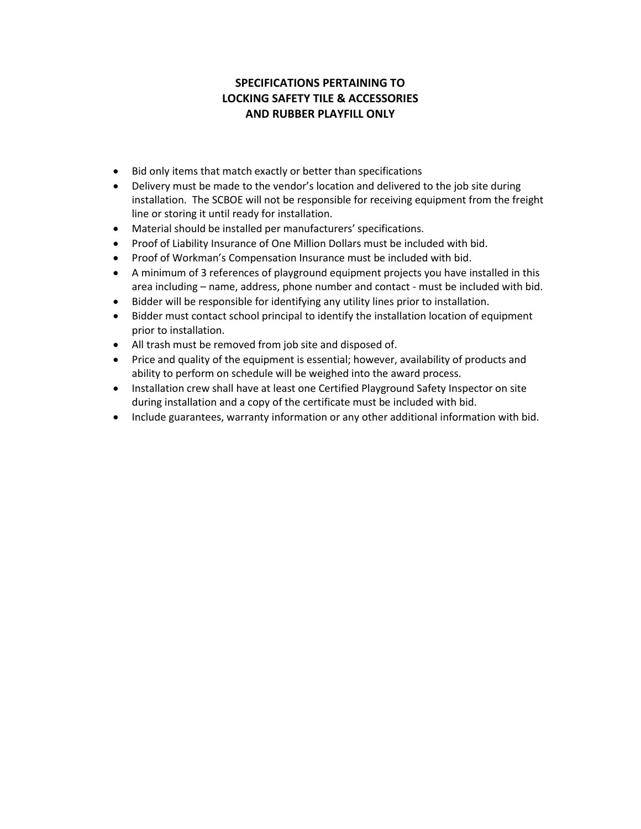# **SPECIFICATIONS PERTAINING TO LOCKING SAFETY TILE & ACCESSORIES AND RUBBER PLAYFILL ONLY**

- Bid only items that match exactly or better than specifications
- Delivery must be made to the vendor's location and delivered to the job site during installation. The SCBOE will not be responsible for receiving equipment from the freight line or storing it until ready for installation.
- Material should be installed per manufacturers' specifications.
- Proof of Liability Insurance of One Million Dollars must be included with bid.
- Proof of Workman's Compensation Insurance must be included with bid.
- A minimum of 3 references of playground equipment projects you have installed in this area including – name, address, phone number and contact - must be included with bid.
- Bidder will be responsible for identifying any utility lines prior to installation.
- Bidder must contact school principal to identify the installation location of equipment prior to installation.
- All trash must be removed from job site and disposed of.
- Price and quality of the equipment is essential; however, availability of products and ability to perform on schedule will be weighed into the award process.
- Installation crew shall have at least one Certified Playground Safety Inspector on site during installation and a copy of the certificate must be included with bid.
- Include guarantees, warranty information or any other additional information with bid.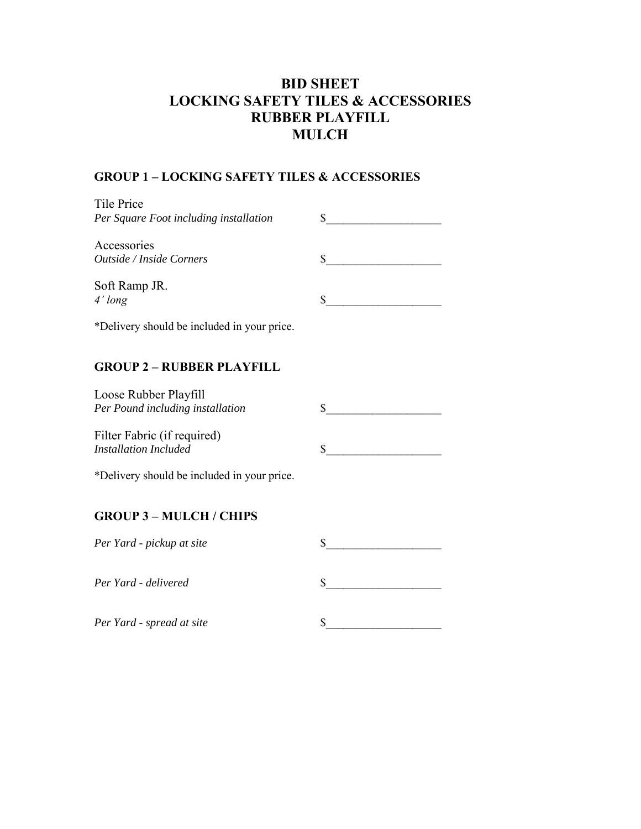# **BID SHEET LOCKING SAFETY TILES & ACCESSORIES RUBBER PLAYFILL MULCH**

# **GROUP 1 – LOCKING SAFETY TILES & ACCESSORIES**

| Tile Price<br>Per Square Foot including installation |  |
|------------------------------------------------------|--|
| Accessories<br><i>Outside / Inside Corners</i>       |  |
| Soft Ramp JR.<br>$4'$ long                           |  |

\*Delivery should be included in your price.

## **GROUP 2 – RUBBER PLAYFILL**

| Loose Rubber Playfill            |  |
|----------------------------------|--|
| Per Pound including installation |  |
| Filter Fabric (if required)      |  |

 $\mathbb S$ 

 $In the calculation.$ 

\*Delivery should be included in your price.

## **GROUP 3 – MULCH / CHIPS**

| Per Yard - pickup at site |  |
|---------------------------|--|
| Per Yard - delivered      |  |
| Per Yard - spread at site |  |